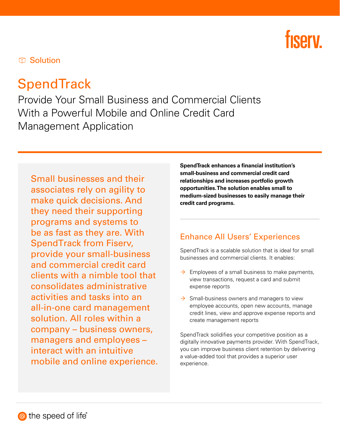# **fisery**

**C** Solution

## **SpendTrack**

Provide Your Small Business and Commercial Clients With a Powerful Mobile and Online Credit Card Management Application

Small businesses and their associates rely on agility to make quick decisions. And they need their supporting programs and systems to be as fast as they are. With SpendTrack from Fiserv, provide your small-business and commercial credit card clients with a nimble tool that consolidates administrative activities and tasks into an all-in-one card management solution. All roles within a company – business owners, managers and employees − interact with an intuitive mobile and online experience. SpendTrack enhances a financial institution's small-business and commercial credit card relationships and increases portfolio growth opportunities. The solution enables small to medium-sized businesses to easily manage their credit card programs.

#### Enhance All Users' Experiences

SpendTrack is a scalable solution that is ideal for small businesses and commercial clients. It enables:

- $\rightarrow$  Employees of a small business to make payments, view transactions, request a card and submit expense reports
- $\rightarrow$  Small-business owners and managers to view employee accounts, open new accounts, manage credit lines, view and approve expense reports and create management reports

SpendTrack solidifies your competitive position as a digitally innovative payments provider. With SpendTrack, you can improve business client retention by delivering a value-added tool that provides a superior user experience.